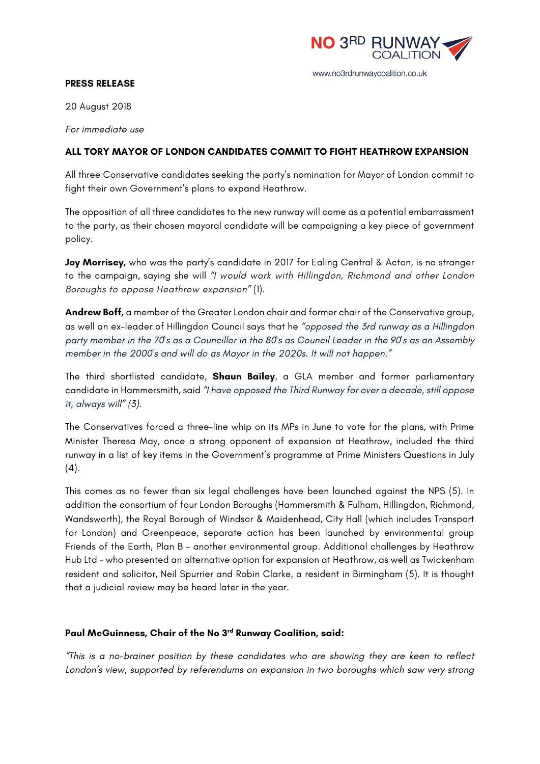

## www.no3rdrunwaycoalition.co.uk

## **PRESS RELEASE**

20 August 2018

*For immediate use*

## **ALL TORY MAYOR OF LONDON CANDIDATES COMMIT TO FIGHT HEATHROW EXPANSION**

All three Conservative candidates seeking the party's nomination for Mayor of London commit to fight their own Government's plans to expand Heathrow.

The opposition of all three candidates to the new runway will come as a potential embarrassment to the party, as their chosen mayoral candidate will be campaigning a key piece of government policy.

**Joy Morrisey,** who was the party's candidate in 2017 for Ealing Central & Acton, is no stranger to the campaign, saying she will *"I would work with Hillingdon, Richmond and other London Boroughs to oppose Heathrow expansion"* (1).

**Andrew Boff,** a member of the Greater London chair and former chair of the Conservative group, as well an ex-leader of Hillingdon Council says that he *"opposed the 3rd runway as a Hillingdon party member in the 70's as a Councillor in the 80's as Council Leader in the 90's as an Assembly member in the 2000's and will do as Mayor in the 2020s. It will not happen."*

The third shortlisted candidate, **Shaun Bailey**, a GLA member and former parliamentary candidate in Hammersmith, said *"I have opposed the Third Runway for over a decade, still oppose it, always will" (3).*

The Conservatives forced a three-line whip on its MPs in June to vote for the plans, with Prime Minister Theresa May, once a strong opponent of expansion at Heathrow, included the third runway in a list of key items in the Government's programme at Prime Ministers Questions in July  $(4).$ 

This comes as no fewer than six legal challenges have been launched against the NPS (5). In addition the consortium of four London Boroughs (Hammersmith & Fulham, Hillingdon, Richmond, Wandsworth), the Royal Borough of Windsor & Maidenhead, City Hall (which includes Transport for London) and Greenpeace, separate action has been launched by environmental group Friends of the Earth, Plan B – another environmental group. Additional challenges by Heathrow Hub Ltd – who presented an alternative option for expansion at Heathrow, as well as Twickenham resident and solicitor, Neil Spurrier and Robin Clarke, a resident in Birmingham (5). It is thought that a judicial review may be heard later in the year.

## **Paul McGuinness, Chair of the No 3rd Runway Coalition, said:**

*"This is a no-brainer position by these candidates who are showing they are keen to reflect London's view, supported by referendums on expansion in two boroughs which saw very strong*